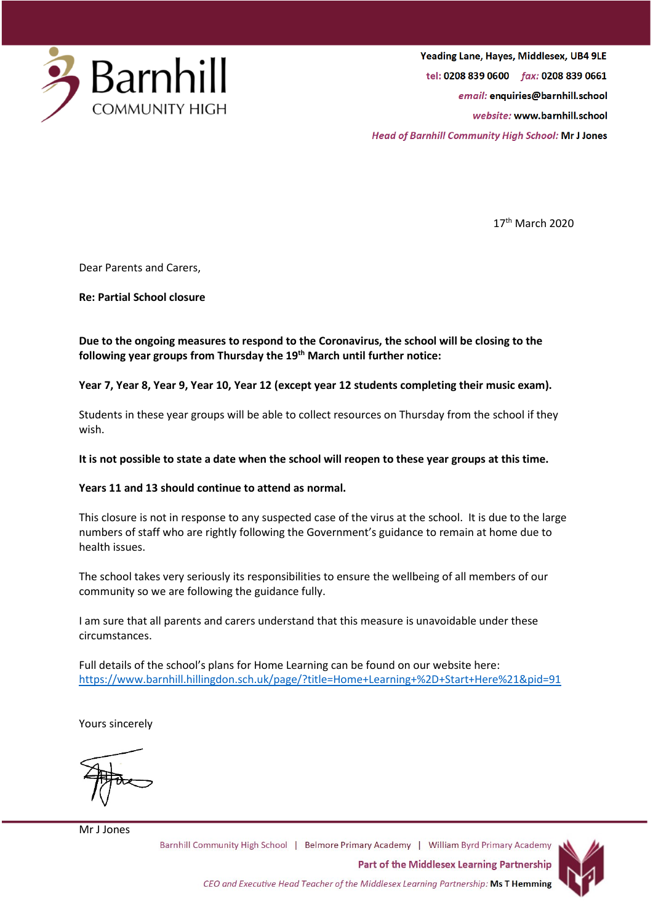

Yeading Lane, Hayes, Middlesex, UB4 9LE tel: 0208 839 0600 fax: 0208 839 0661 email: enquiries@barnhill.school website: www.barnhill.school **Head of Barnhill Community High School: Mr J Jones** 

17th March 2020

Dear Parents and Carers,

**Re: Partial School closure**

## **Due to the ongoing measures to respond to the Coronavirus, the school will be closing to the following year groups from Thursday the 19th March until further notice:**

## **Year 7, Year 8, Year 9, Year 10, Year 12 (except year 12 students completing their music exam).**

Students in these year groups will be able to collect resources on Thursday from the school if they wish.

## **It is not possible to state a date when the school will reopen to these year groups at this time.**

## **Years 11 and 13 should continue to attend as normal.**

This closure is not in response to any suspected case of the virus at the school. It is due to the large numbers of staff who are rightly following the Government's guidance to remain at home due to health issues.

The school takes very seriously its responsibilities to ensure the wellbeing of all members of our community so we are following the guidance fully.

I am sure that all parents and carers understand that this measure is unavoidable under these circumstances.

Full details of the school's plans for Home Learning can be found on our website here: <https://www.barnhill.hillingdon.sch.uk/page/?title=Home+Learning+%2D+Start+Here%21&pid=91>

Yours sincerely

Mr J Jones